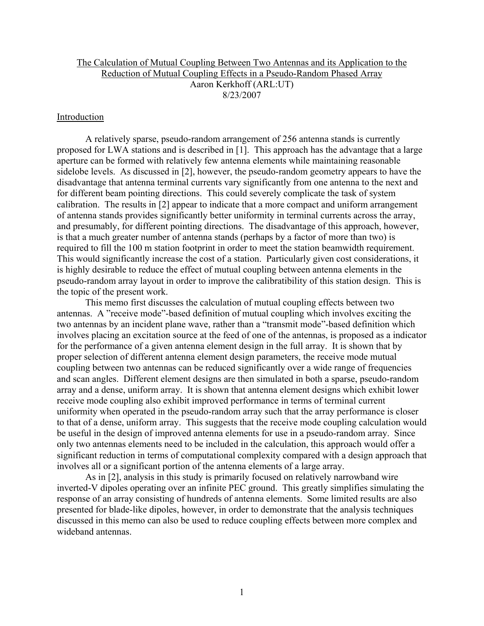# The Calculation of Mutual Coupling Between Two Antennas and its Application to the Reduction of Mutual Coupling Effects in a Pseudo-Random Phased Array Aaron Kerkhoff (ARL:UT) 8/23/2007

## **Introduction**

 A relatively sparse, pseudo-random arrangement of 256 antenna stands is currently proposed for LWA stations and is described in [1]. This approach has the advantage that a large aperture can be formed with relatively few antenna elements while maintaining reasonable sidelobe levels. As discussed in [2], however, the pseudo-random geometry appears to have the disadvantage that antenna terminal currents vary significantly from one antenna to the next and for different beam pointing directions. This could severely complicate the task of system calibration. The results in [2] appear to indicate that a more compact and uniform arrangement of antenna stands provides significantly better uniformity in terminal currents across the array, and presumably, for different pointing directions. The disadvantage of this approach, however, is that a much greater number of antenna stands (perhaps by a factor of more than two) is required to fill the 100 m station footprint in order to meet the station beamwidth requirement. This would significantly increase the cost of a station. Particularly given cost considerations, it is highly desirable to reduce the effect of mutual coupling between antenna elements in the pseudo-random array layout in order to improve the calibratibility of this station design. This is the topic of the present work.

 This memo first discusses the calculation of mutual coupling effects between two antennas. A "receive mode"-based definition of mutual coupling which involves exciting the two antennas by an incident plane wave, rather than a "transmit mode"-based definition which involves placing an excitation source at the feed of one of the antennas, is proposed as a indicator for the performance of a given antenna element design in the full array. It is shown that by proper selection of different antenna element design parameters, the receive mode mutual coupling between two antennas can be reduced significantly over a wide range of frequencies and scan angles. Different element designs are then simulated in both a sparse, pseudo-random array and a dense, uniform array. It is shown that antenna element designs which exhibit lower receive mode coupling also exhibit improved performance in terms of terminal current uniformity when operated in the pseudo-random array such that the array performance is closer to that of a dense, uniform array. This suggests that the receive mode coupling calculation would be useful in the design of improved antenna elements for use in a pseudo-random array. Since only two antennas elements need to be included in the calculation, this approach would offer a significant reduction in terms of computational complexity compared with a design approach that involves all or a significant portion of the antenna elements of a large array.

 As in [2], analysis in this study is primarily focused on relatively narrowband wire inverted-V dipoles operating over an infinite PEC ground. This greatly simplifies simulating the response of an array consisting of hundreds of antenna elements. Some limited results are also presented for blade-like dipoles, however, in order to demonstrate that the analysis techniques discussed in this memo can also be used to reduce coupling effects between more complex and wideband antennas.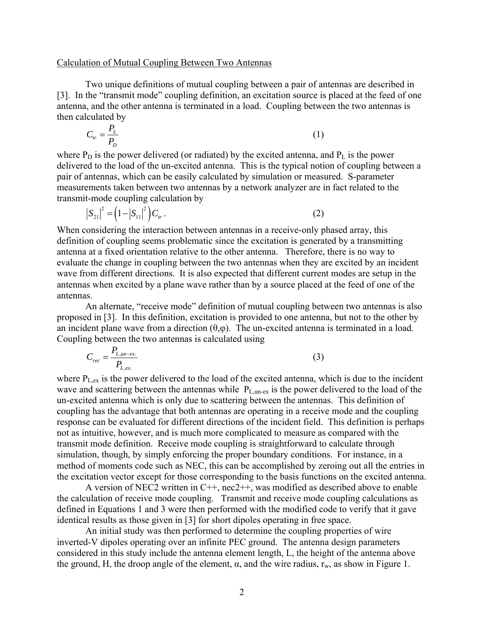#### Calculation of Mutual Coupling Between Two Antennas

 Two unique definitions of mutual coupling between a pair of antennas are described in [3]. In the "transmit mode" coupling definition, an excitation source is placed at the feed of one antenna, and the other antenna is terminated in a load. Coupling between the two antennas is then calculated by

$$
C_{tr} = \frac{P_L}{P_D} \tag{1}
$$

where  $P_D$  is the power delivered (or radiated) by the excited antenna, and  $P_L$  is the power delivered to the load of the un-excited antenna. This is the typical notion of coupling between a pair of antennas, which can be easily calculated by simulation or measured. S-parameter measurements taken between two antennas by a network analyzer are in fact related to the transmit-mode coupling calculation by

$$
|S_{21}|^2 = (1 - |S_{11}|^2) C_{tr}.
$$
 (2)

When considering the interaction between antennas in a receive-only phased array, this definition of coupling seems problematic since the excitation is generated by a transmitting antenna at a fixed orientation relative to the other antenna. Therefore, there is no way to evaluate the change in coupling between the two antennas when they are excited by an incident wave from different directions. It is also expected that different current modes are setup in the antennas when excited by a plane wave rather than by a source placed at the feed of one of the antennas.

 An alternate, "receive mode" definition of mutual coupling between two antennas is also proposed in [3]. In this definition, excitation is provided to one antenna, but not to the other by an incident plane wave from a direction  $(\theta,\varphi)$ . The un-excited antenna is terminated in a load. Coupling between the two antennas is calculated using

$$
C_{rec} = \frac{P_{L,un-ex.}}{P_{L,ex.}}
$$
\n
$$
(3)
$$

where  $P_{\text{Lex}}$  is the power delivered to the load of the excited antenna, which is due to the incident wave and scattering between the antennas while  $P_{L,un-ex}$  is the power delivered to the load of the un-excited antenna which is only due to scattering between the antennas. This definition of coupling has the advantage that both antennas are operating in a receive mode and the coupling response can be evaluated for different directions of the incident field. This definition is perhaps not as intuitive, however, and is much more complicated to measure as compared with the transmit mode definition. Receive mode coupling is straightforward to calculate through simulation, though, by simply enforcing the proper boundary conditions. For instance, in a method of moments code such as NEC, this can be accomplished by zeroing out all the entries in the excitation vector except for those corresponding to the basis functions on the excited antenna.

 A version of NEC2 written in C++, nec2++, was modified as described above to enable the calculation of receive mode coupling. Transmit and receive mode coupling calculations as defined in Equations 1 and 3 were then performed with the modified code to verify that it gave identical results as those given in [3] for short dipoles operating in free space.

An initial study was then performed to determine the coupling properties of wire inverted-V dipoles operating over an infinite PEC ground. The antenna design parameters considered in this study include the antenna element length, L, the height of the antenna above the ground, H, the droop angle of the element,  $\alpha$ , and the wire radius,  $r_w$ , as show in Figure 1.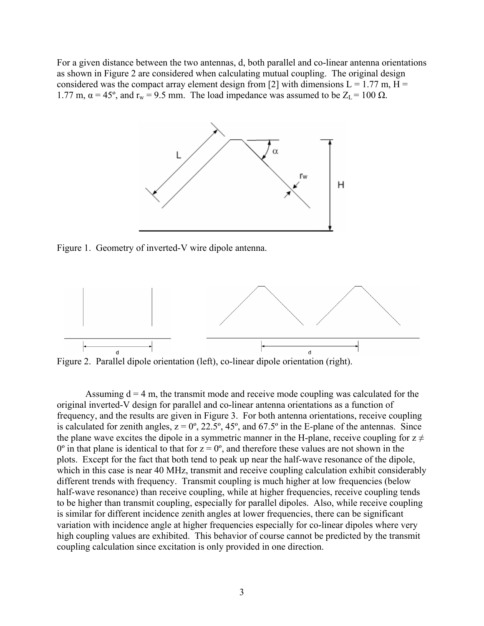For a given distance between the two antennas, d, both parallel and co-linear antenna orientations as shown in Figure 2 are considered when calculating mutual coupling. The original design considered was the compact array element design from [2] with dimensions  $L = 1.77$  m,  $H =$ 1.77 m,  $\alpha = 45^{\circ}$ , and  $r_w = 9.5$  mm. The load impedance was assumed to be  $Z_L = 100 \Omega$ .



Figure 1. Geometry of inverted-V wire dipole antenna.



Assuming  $d = 4$  m, the transmit mode and receive mode coupling was calculated for the original inverted-V design for parallel and co-linear antenna orientations as a function of frequency, and the results are given in Figure 3. For both antenna orientations, receive coupling is calculated for zenith angles,  $z = 0^\circ$ , 22.5°, 45°, and 67.5° in the E-plane of the antennas. Since the plane wave excites the dipole in a symmetric manner in the H-plane, receive coupling for  $z \neq$  $0^{\circ}$  in that plane is identical to that for  $z = 0^{\circ}$ , and therefore these values are not shown in the plots. Except for the fact that both tend to peak up near the half-wave resonance of the dipole, which in this case is near 40 MHz, transmit and receive coupling calculation exhibit considerably different trends with frequency. Transmit coupling is much higher at low frequencies (below half-wave resonance) than receive coupling, while at higher frequencies, receive coupling tends to be higher than transmit coupling, especially for parallel dipoles. Also, while receive coupling is similar for different incidence zenith angles at lower frequencies, there can be significant variation with incidence angle at higher frequencies especially for co-linear dipoles where very high coupling values are exhibited. This behavior of course cannot be predicted by the transmit coupling calculation since excitation is only provided in one direction.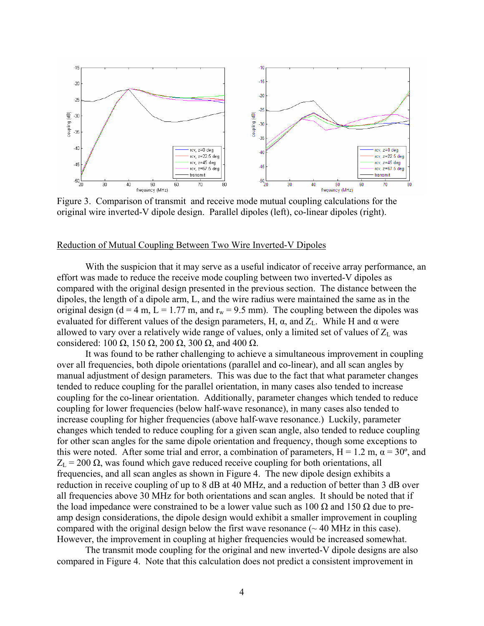

Figure 3. Comparison of transmit and receive mode mutual coupling calculations for the original wire inverted-V dipole design. Parallel dipoles (left), co-linear dipoles (right).

#### Reduction of Mutual Coupling Between Two Wire Inverted-V Dipoles

 With the suspicion that it may serve as a useful indicator of receive array performance, an effort was made to reduce the receive mode coupling between two inverted-V dipoles as compared with the original design presented in the previous section. The distance between the dipoles, the length of a dipole arm, L, and the wire radius were maintained the same as in the original design ( $d = 4$  m,  $L = 1.77$  m, and  $r_w = 9.5$  mm). The coupling between the dipoles was evaluated for different values of the design parameters, H,  $\alpha$ , and  $Z_L$ . While H and  $\alpha$  were allowed to vary over a relatively wide range of values, only a limited set of values of  $Z_L$  was considered: 100  $\Omega$ , 150  $\Omega$ , 200  $\Omega$ , 300  $\Omega$ , and 400  $\Omega$ .

 It was found to be rather challenging to achieve a simultaneous improvement in coupling over all frequencies, both dipole orientations (parallel and co-linear), and all scan angles by manual adjustment of design parameters. This was due to the fact that what parameter changes tended to reduce coupling for the parallel orientation, in many cases also tended to increase coupling for the co-linear orientation. Additionally, parameter changes which tended to reduce coupling for lower frequencies (below half-wave resonance), in many cases also tended to increase coupling for higher frequencies (above half-wave resonance.) Luckily, parameter changes which tended to reduce coupling for a given scan angle, also tended to reduce coupling for other scan angles for the same dipole orientation and frequency, though some exceptions to this were noted. After some trial and error, a combination of parameters,  $H = 1.2$  m,  $\alpha = 30^{\circ}$ , and  $Z_L$  = 200  $\Omega$ , was found which gave reduced receive coupling for both orientations, all frequencies, and all scan angles as shown in Figure 4. The new dipole design exhibits a reduction in receive coupling of up to 8 dB at 40 MHz, and a reduction of better than 3 dB over all frequencies above 30 MHz for both orientations and scan angles. It should be noted that if the load impedance were constrained to be a lower value such as  $100 \Omega$  and  $150 \Omega$  due to preamp design considerations, the dipole design would exhibit a smaller improvement in coupling compared with the original design below the first wave resonance  $(\sim 40 \text{ MHz}$  in this case). However, the improvement in coupling at higher frequencies would be increased somewhat.

 The transmit mode coupling for the original and new inverted-V dipole designs are also compared in Figure 4. Note that this calculation does not predict a consistent improvement in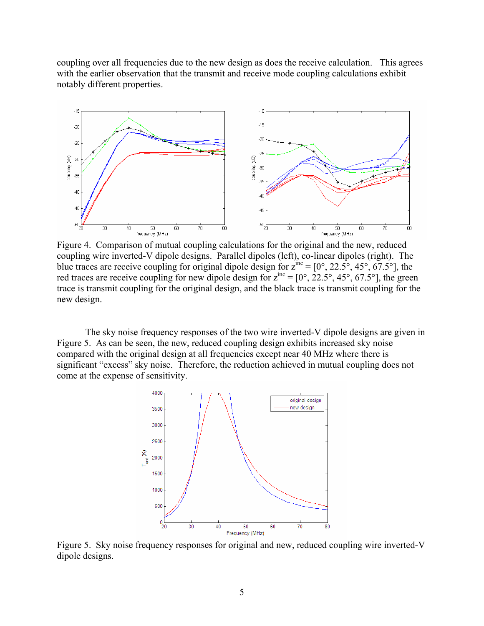coupling over all frequencies due to the new design as does the receive calculation. This agrees with the earlier observation that the transmit and receive mode coupling calculations exhibit notably different properties.



Figure 4. Comparison of mutual coupling calculations for the original and the new, reduced coupling wire inverted-V dipole designs. Parallel dipoles (left), co-linear dipoles (right). The blue traces are receive coupling for original dipole design for  $z^{inc} = [0^\circ, 22.5^\circ, 45^\circ, 67.5^\circ]$ , the red traces are receive coupling for new dipole design for  $z^{inc} = [0^\circ, 22.5^\circ, 45^\circ, 67.5^\circ]$ , the green trace is transmit coupling for the original design, and the black trace is transmit coupling for the new design.

 The sky noise frequency responses of the two wire inverted-V dipole designs are given in Figure 5. As can be seen, the new, reduced coupling design exhibits increased sky noise compared with the original design at all frequencies except near 40 MHz where there is significant "excess" sky noise. Therefore, the reduction achieved in mutual coupling does not come at the expense of sensitivity.



Figure 5. Sky noise frequency responses for original and new, reduced coupling wire inverted-V dipole designs.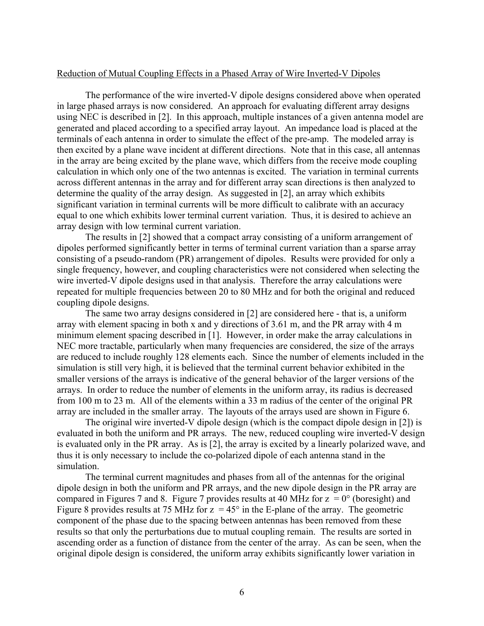#### Reduction of Mutual Coupling Effects in a Phased Array of Wire Inverted-V Dipoles

 The performance of the wire inverted-V dipole designs considered above when operated in large phased arrays is now considered. An approach for evaluating different array designs using NEC is described in [2]. In this approach, multiple instances of a given antenna model are generated and placed according to a specified array layout. An impedance load is placed at the terminals of each antenna in order to simulate the effect of the pre-amp. The modeled array is then excited by a plane wave incident at different directions. Note that in this case, all antennas in the array are being excited by the plane wave, which differs from the receive mode coupling calculation in which only one of the two antennas is excited. The variation in terminal currents across different antennas in the array and for different array scan directions is then analyzed to determine the quality of the array design. As suggested in [2], an array which exhibits significant variation in terminal currents will be more difficult to calibrate with an accuracy equal to one which exhibits lower terminal current variation. Thus, it is desired to achieve an array design with low terminal current variation.

 The results in [2] showed that a compact array consisting of a uniform arrangement of dipoles performed significantly better in terms of terminal current variation than a sparse array consisting of a pseudo-random (PR) arrangement of dipoles. Results were provided for only a single frequency, however, and coupling characteristics were not considered when selecting the wire inverted-V dipole designs used in that analysis. Therefore the array calculations were repeated for multiple frequencies between 20 to 80 MHz and for both the original and reduced coupling dipole designs.

The same two array designs considered in [2] are considered here - that is, a uniform array with element spacing in both x and y directions of 3.61 m, and the PR array with 4 m minimum element spacing described in [1]. However, in order make the array calculations in NEC more tractable, particularly when many frequencies are considered, the size of the arrays are reduced to include roughly 128 elements each. Since the number of elements included in the simulation is still very high, it is believed that the terminal current behavior exhibited in the smaller versions of the arrays is indicative of the general behavior of the larger versions of the arrays. In order to reduce the number of elements in the uniform array, its radius is decreased from 100 m to 23 m. All of the elements within a 33 m radius of the center of the original PR array are included in the smaller array. The layouts of the arrays used are shown in Figure 6.

The original wire inverted-V dipole design (which is the compact dipole design in [2]) is evaluated in both the uniform and PR arrays. The new, reduced coupling wire inverted-V design is evaluated only in the PR array. As is [2], the array is excited by a linearly polarized wave, and thus it is only necessary to include the co-polarized dipole of each antenna stand in the simulation.

 The terminal current magnitudes and phases from all of the antennas for the original dipole design in both the uniform and PR arrays, and the new dipole design in the PR array are compared in Figures 7 and 8. Figure 7 provides results at 40 MHz for  $z = 0^{\circ}$  (boresight) and Figure 8 provides results at 75 MHz for  $z = 45^{\circ}$  in the E-plane of the array. The geometric component of the phase due to the spacing between antennas has been removed from these results so that only the perturbations due to mutual coupling remain. The results are sorted in ascending order as a function of distance from the center of the array. As can be seen, when the original dipole design is considered, the uniform array exhibits significantly lower variation in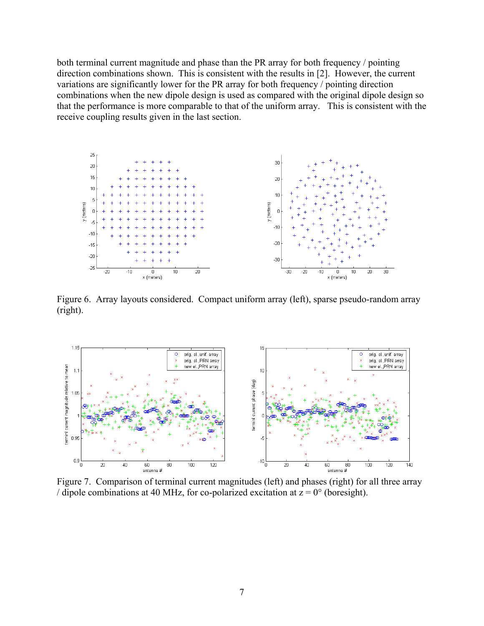both terminal current magnitude and phase than the PR array for both frequency / pointing direction combinations shown. This is consistent with the results in [2]. However, the current variations are significantly lower for the PR array for both frequency / pointing direction combinations when the new dipole design is used as compared with the original dipole design so that the performance is more comparable to that of the uniform array. This is consistent with the receive coupling results given in the last section.



Figure 6. Array layouts considered. Compact uniform array (left), sparse pseudo-random array (right).



Figure 7. Comparison of terminal current magnitudes (left) and phases (right) for all three array / dipole combinations at 40 MHz, for co-polarized excitation at  $z = 0^{\circ}$  (boresight).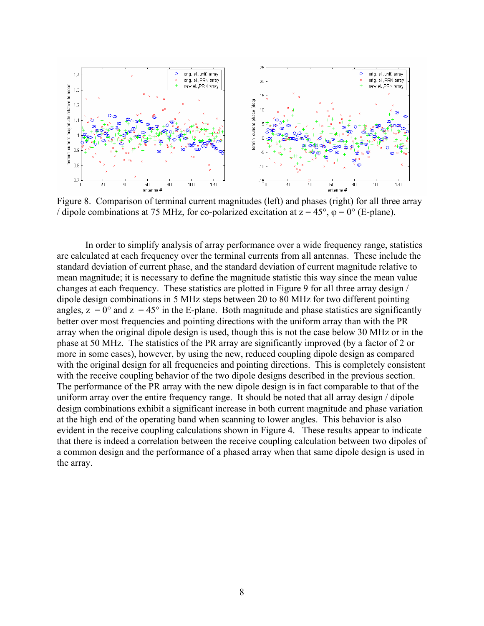

Figure 8. Comparison of terminal current magnitudes (left) and phases (right) for all three array / dipole combinations at 75 MHz, for co-polarized excitation at  $z = 45^{\circ}$ ,  $\varphi = 0^{\circ}$  (E-plane).

In order to simplify analysis of array performance over a wide frequency range, statistics are calculated at each frequency over the terminal currents from all antennas. These include the standard deviation of current phase, and the standard deviation of current magnitude relative to mean magnitude; it is necessary to define the magnitude statistic this way since the mean value changes at each frequency. These statistics are plotted in Figure 9 for all three array design / dipole design combinations in 5 MHz steps between 20 to 80 MHz for two different pointing angles,  $z = 0^{\circ}$  and  $z = 45^{\circ}$  in the E-plane. Both magnitude and phase statistics are significantly better over most frequencies and pointing directions with the uniform array than with the PR array when the original dipole design is used, though this is not the case below 30 MHz or in the phase at 50 MHz. The statistics of the PR array are significantly improved (by a factor of 2 or more in some cases), however, by using the new, reduced coupling dipole design as compared with the original design for all frequencies and pointing directions. This is completely consistent with the receive coupling behavior of the two dipole designs described in the previous section. The performance of the PR array with the new dipole design is in fact comparable to that of the uniform array over the entire frequency range. It should be noted that all array design / dipole design combinations exhibit a significant increase in both current magnitude and phase variation at the high end of the operating band when scanning to lower angles. This behavior is also evident in the receive coupling calculations shown in Figure 4. These results appear to indicate that there is indeed a correlation between the receive coupling calculation between two dipoles of a common design and the performance of a phased array when that same dipole design is used in the array.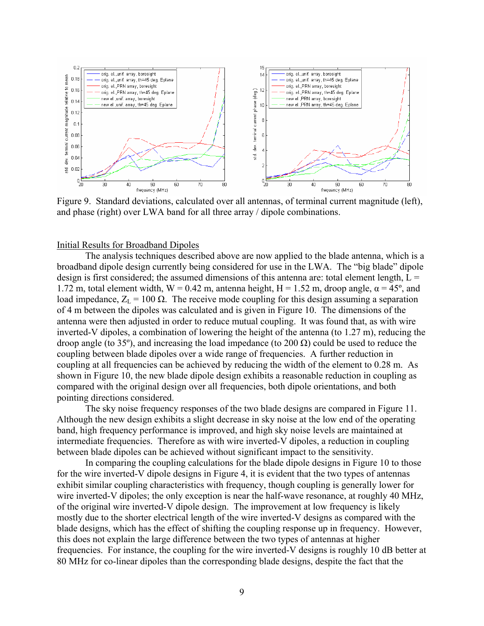

Figure 9. Standard deviations, calculated over all antennas, of terminal current magnitude (left), and phase (right) over LWA band for all three array / dipole combinations.

## Initial Results for Broadband Dipoles

The analysis techniques described above are now applied to the blade antenna, which is a broadband dipole design currently being considered for use in the LWA. The "big blade" dipole design is first considered; the assumed dimensions of this antenna are: total element length,  $L =$ 1.72 m, total element width,  $W = 0.42$  m, antenna height,  $H = 1.52$  m, droop angle,  $\alpha = 45^{\circ}$ , and load impedance,  $Z_L$  = 100 Ω. The receive mode coupling for this design assuming a separation of 4 m between the dipoles was calculated and is given in Figure 10. The dimensions of the antenna were then adjusted in order to reduce mutual coupling. It was found that, as with wire inverted-V dipoles, a combination of lowering the height of the antenna (to 1.27 m), reducing the droop angle (to 35°), and increasing the load impedance (to 200 Ω) could be used to reduce the coupling between blade dipoles over a wide range of frequencies. A further reduction in coupling at all frequencies can be achieved by reducing the width of the element to 0.28 m. As shown in Figure 10, the new blade dipole design exhibits a reasonable reduction in coupling as compared with the original design over all frequencies, both dipole orientations, and both pointing directions considered.

The sky noise frequency responses of the two blade designs are compared in Figure 11. Although the new design exhibits a slight decrease in sky noise at the low end of the operating band, high frequency performance is improved, and high sky noise levels are maintained at intermediate frequencies. Therefore as with wire inverted-V dipoles, a reduction in coupling between blade dipoles can be achieved without significant impact to the sensitivity.

In comparing the coupling calculations for the blade dipole designs in Figure 10 to those for the wire inverted-V dipole designs in Figure 4, it is evident that the two types of antennas exhibit similar coupling characteristics with frequency, though coupling is generally lower for wire inverted-V dipoles; the only exception is near the half-wave resonance, at roughly 40 MHz, of the original wire inverted-V dipole design. The improvement at low frequency is likely mostly due to the shorter electrical length of the wire inverted-V designs as compared with the blade designs, which has the effect of shifting the coupling response up in frequency. However, this does not explain the large difference between the two types of antennas at higher frequencies. For instance, the coupling for the wire inverted-V designs is roughly 10 dB better at 80 MHz for co-linear dipoles than the corresponding blade designs, despite the fact that the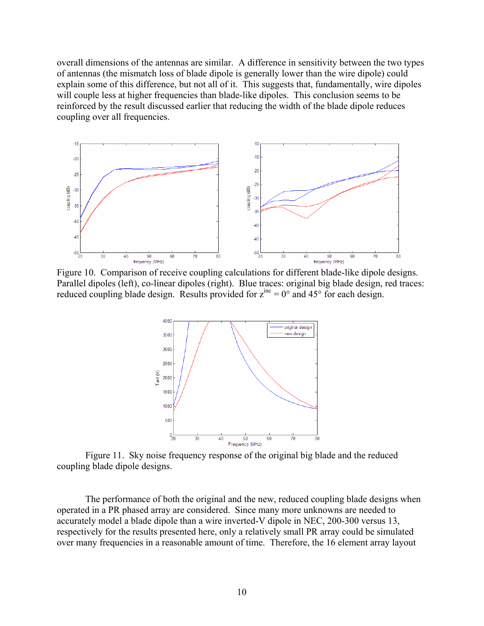overall dimensions of the antennas are similar. A difference in sensitivity between the two types of antennas (the mismatch loss of blade dipole is generally lower than the wire dipole) could explain some of this difference, but not all of it. This suggests that, fundamentally, wire dipoles will couple less at higher frequencies than blade-like dipoles. This conclusion seems to be reinforced by the result discussed earlier that reducing the width of the blade dipole reduces coupling over all frequencies.



Figure 10. Comparison of receive coupling calculations for different blade-like dipole designs. Parallel dipoles (left), co-linear dipoles (right). Blue traces: original big blade design, red traces: reduced coupling blade design. Results provided for  $z^{inc} = 0^\circ$  and 45° for each design.



Figure 11. Sky noise frequency response of the original big blade and the reduced coupling blade dipole designs.

 The performance of both the original and the new, reduced coupling blade designs when operated in a PR phased array are considered. Since many more unknowns are needed to accurately model a blade dipole than a wire inverted-V dipole in NEC, 200-300 versus 13, respectively for the results presented here, only a relatively small PR array could be simulated over many frequencies in a reasonable amount of time. Therefore, the 16 element array layout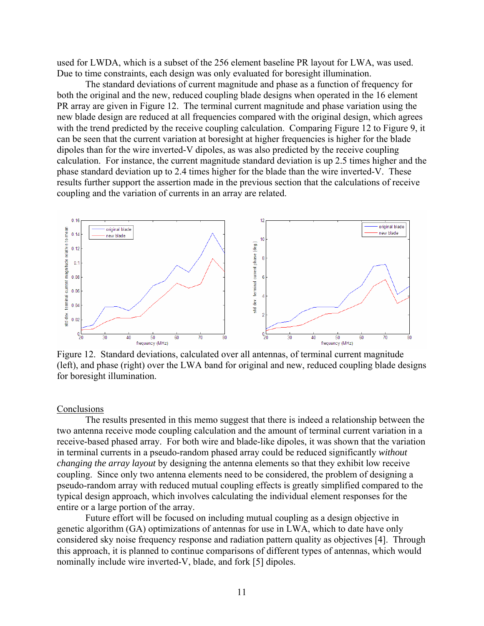used for LWDA, which is a subset of the 256 element baseline PR layout for LWA, was used. Due to time constraints, each design was only evaluated for boresight illumination.

 The standard deviations of current magnitude and phase as a function of frequency for both the original and the new, reduced coupling blade designs when operated in the 16 element PR array are given in Figure 12. The terminal current magnitude and phase variation using the new blade design are reduced at all frequencies compared with the original design, which agrees with the trend predicted by the receive coupling calculation. Comparing Figure 12 to Figure 9, it can be seen that the current variation at boresight at higher frequencies is higher for the blade dipoles than for the wire inverted-V dipoles, as was also predicted by the receive coupling calculation. For instance, the current magnitude standard deviation is up 2.5 times higher and the phase standard deviation up to 2.4 times higher for the blade than the wire inverted-V. These results further support the assertion made in the previous section that the calculations of receive coupling and the variation of currents in an array are related.



Figure 12. Standard deviations, calculated over all antennas, of terminal current magnitude (left), and phase (right) over the LWA band for original and new, reduced coupling blade designs for boresight illumination.

## **Conclusions**

 The results presented in this memo suggest that there is indeed a relationship between the two antenna receive mode coupling calculation and the amount of terminal current variation in a receive-based phased array. For both wire and blade-like dipoles, it was shown that the variation in terminal currents in a pseudo-random phased array could be reduced significantly *without changing the array layout* by designing the antenna elements so that they exhibit low receive coupling. Since only two antenna elements need to be considered, the problem of designing a pseudo-random array with reduced mutual coupling effects is greatly simplified compared to the typical design approach, which involves calculating the individual element responses for the entire or a large portion of the array.

 Future effort will be focused on including mutual coupling as a design objective in genetic algorithm (GA) optimizations of antennas for use in LWA, which to date have only considered sky noise frequency response and radiation pattern quality as objectives [4]. Through this approach, it is planned to continue comparisons of different types of antennas, which would nominally include wire inverted-V, blade, and fork [5] dipoles.